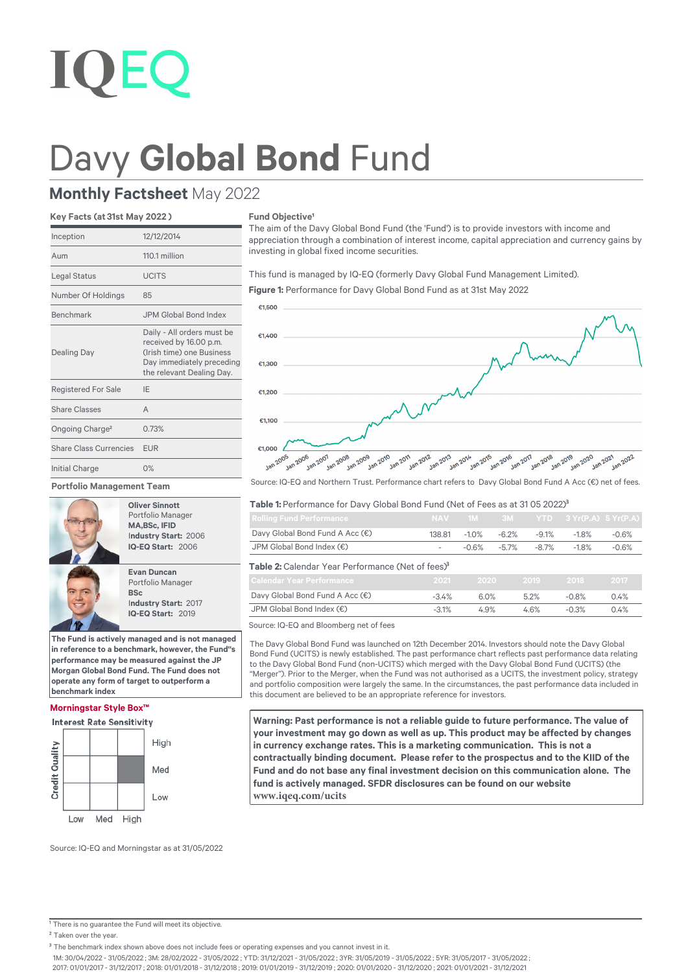# Davy **Global Bond** Fund

# **Monthly Factsheet** May 2022

# **Key Facts (at 31st May 2022 )**

| Inception                     | 12/12/2014                                                                                                                                  |
|-------------------------------|---------------------------------------------------------------------------------------------------------------------------------------------|
| Aum                           | 110.1 million                                                                                                                               |
| Legal Status                  | <b>UCITS</b>                                                                                                                                |
| Number Of Holdings            | 85                                                                                                                                          |
| <b>Benchmark</b>              | JPM Global Bond Index                                                                                                                       |
| <b>Dealing Day</b>            | Daily - All orders must be<br>received by 16.00 p.m.<br>(Irish time) one Business<br>Day immediately preceding<br>the relevant Dealing Day. |
| <b>Registered For Sale</b>    | IF                                                                                                                                          |
| Share Classes                 | $\Delta$                                                                                                                                    |
| Ongoing Charge <sup>2</sup>   | 0.73%                                                                                                                                       |
| <b>Share Class Currencies</b> | <b>EUR</b>                                                                                                                                  |
| <b>Initial Charge</b>         | 0%                                                                                                                                          |

**Portfolio Management Team**



 **Oliver Sinnott** Portfolio Manager  **MA,BSc, IFID** I**ndustry Start:** 2006  **IQ-EQ Start:** 2006



**The Fund is actively managed and is not managed in reference to a benchmark, however, the Fund''s performance may be measured against the JP Morgan Global Bond Fund. The Fund does not operate any form of target to outperform a benchmark index**

# **Morningstar Style Box™**

**Interest Rate Sensitivity** 



# **Fund Objective<sup>1</sup>**

The aim of the Davy Global Bond Fund (the 'Fund') is to provide investors with income and appreciation through a combination of interest income, capital appreciation and currency gains by investing in global fixed income securities.

This fund is managed by IQ-EQ (formerly Davy Global Fund Management Limited).



**Figure 1:** Performance for Davy Global Bond Fund as at 31st May 2022



# Table 1: Performance for Davy Global Bond Fund (Net of Fees as at 31 05 2022)<sup>3</sup>

| <b>Rolling Fund Performance</b>                               |                          |          |          |         | NAV 1M 3M YTD 3 Yr(P.A) 5 Yr(P.A) |         |
|---------------------------------------------------------------|--------------------------|----------|----------|---------|-----------------------------------|---------|
| Davy Global Bond Fund A Acc (€)                               | 138.81                   | $-1.0\%$ | -6.2%    | $-9.1%$ | $-1.8\%$                          | $-0.6%$ |
| JPM Global Bond Index (€)                                     | $\overline{\phantom{a}}$ | -0.6%    | $-5.7\%$ | -8.7%   | $-1.8\%$                          | $-0.6%$ |
| Table 2: Calendar Year Performance (Net of fees) <sup>3</sup> |                          |          |          |         |                                   |         |

| -2021-  | - 2020 | - 2019 - | $-2018 -$ | 2017 |
|---------|--------|----------|-----------|------|
| $-34%$  | 6.0%   | 5.2%     | $-0.8%$   | 0.4% |
| $-3.1%$ | 4.9%   | 4.6%     | $-0.3%$   | 0.4% |
|         |        |          |           |      |

Source: IQ-EQ and Bloomberg net of fees

The Davy Global Bond Fund was launched on 12th December 2014. Investors should note the Davy Global Bond Fund (UCITS) is newly established. The past performance chart reflects past performance data relating to the Davy Global Bond Fund (non-UCITS) which merged with the Davy Global Bond Fund (UCITS) (the "Merger"). Prior to the Merger, when the Fund was not authorised as a UCITS, the investment policy, strategy and portfolio composition were largely the same. In the circumstances, the past performance data included in this document are believed to be an appropriate reference for investors.

**Warning: Past performance is not a reliable guide to future performance. The value of your investment may go down as well as up. This product may be affected by changes in currency exchange rates. This is a marketing communication. This is not a contractually binding document. Please refer to the prospectus and to the KIID of the Fund and do not base any final investment decision on this communication alone. The fund is actively managed. SFDR disclosures can be found on our website www.iqeq.com/ucits**

Source: IQ-EQ and Morningstar as at 31/05/2022

<sup>1</sup> There is no guarantee the Fund will meet its objective.

<sup>2</sup> Taken over the year.

1M: 30/04/2022 - 31/05/2022 ; 3M: 28/02/2022 - 31/05/2022 ; YTD: 31/12/2021 - 31/05/2022 ; 3YR: 31/05/2019 - 31/05/2022 ; 5YR: 31/05/2017 - 31/05/2022 ;

2017: 01/01/2017 - 31/12/2017 ; 2018: 01/01/2018 - 31/12/2018 ; 2019: 01/01/2019 - 31/12/2019 ; 2020: 01/01/2020 - 31/12/2020 ; 2021: 01/01/2021 - 31/12/2021

<sup>&</sup>lt;sup>3</sup> The benchmark index shown above does not include fees or operating expenses and you cannot invest in it.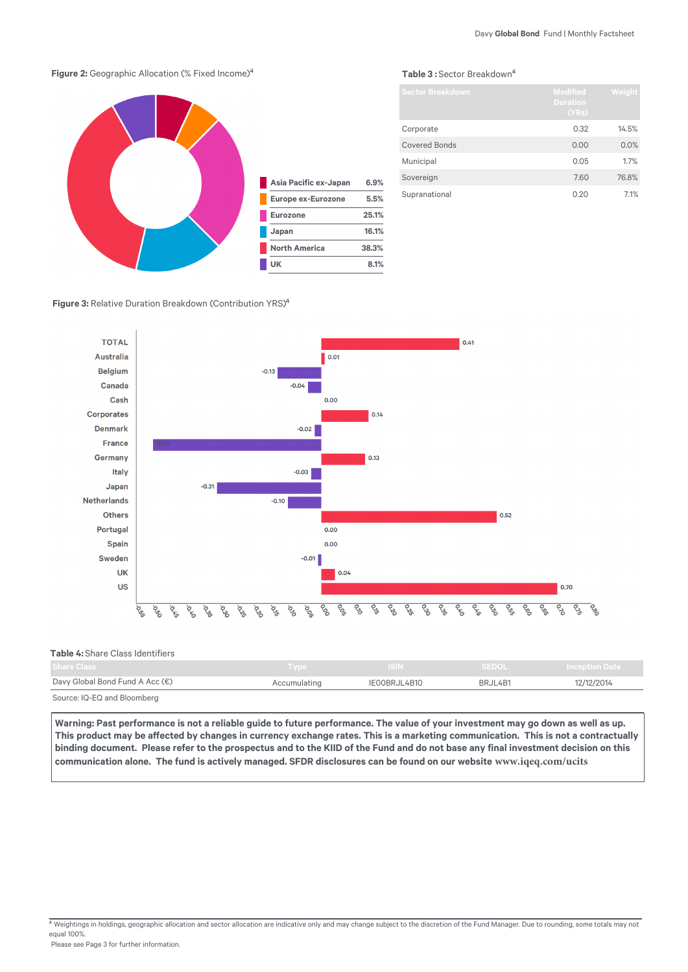# **Figure 2:** Geographic Allocation (% Fixed Income)<sup>4</sup>



## Table 3: Sector Breakdown<sup>4</sup>

| <b>Sector Breakdown</b> | <b>Modified</b><br><b>Duration</b><br>(YRs) | Weight |
|-------------------------|---------------------------------------------|--------|
| Corporate               | 0.32                                        | 14.5%  |
| <b>Covered Bonds</b>    | 0.00                                        | 0.0%   |
| Municipal               | 0.05                                        | 1.7%   |
| Sovereign               | 7.60                                        | 76.8%  |
| Supranational           | 0.20                                        | 7.1%   |

**Figure 3: Relative Duration Breakdown (Contribution YRS)<sup>4</sup>** 



# **Table 4:** Share Class Identifiers

| Share Class                              | <b>Type</b>  | <b>ISIN</b>  | <b>SEDOL</b> | <b>Inception Date</b> |
|------------------------------------------|--------------|--------------|--------------|-----------------------|
| Davy Global Bond Fund A Acc $(\epsilon)$ | Accumulating | IEOOBRJL4B10 | BRJL4B1      | 12/12/2014            |
| Source: IQ-EQ and Bloomberg              |              |              |              |                       |

Warning: Past performance is not a reliable guide to future performance. The value of your investment may go down as well as up. This product may be affected by changes in currency exchange rates. This is a marketing communication. This is not a contractually **binding document. Please refer to the prospectus and to the KIID of the Fund and do not base any final investment decision on this communication alone. The fund is actively managed. SFDR disclosures can be found on our website www.iqeq.com/ucits**

 $\frac{4}{3}$  Weightings in holdings, geographic allocation and sector allocation are indicative only and may change subject to the discretion of the Fund Manager. Due to rounding, some totals may not equal 100%.

Please see Page 3 for further information.